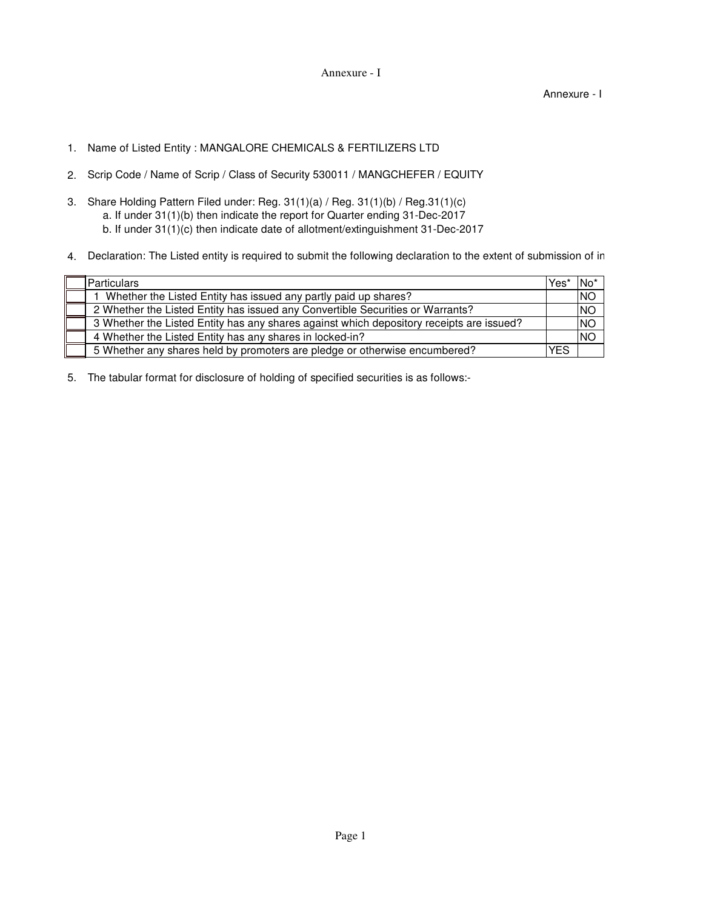Annexure - I

Annexure - I

- 1. Name of Listed Entity : MANGALORE CHEMICALS & FERTILIZERS LTD
- 2. Scrip Code / Name of Scrip / Class of Security 530011 / MANGCHEFER / EQUITY
- 3. Share Holding Pattern Filed under: Reg. 31(1)(a) / Reg. 31(1)(b) / Reg.31(1)(c) a. If under 31(1)(b) then indicate the report for Quarter ending 31-Dec-2017 b. If under 31(1)(c) then indicate date of allotment/extinguishment 31-Dec-2017
- 4. Declaration: The Listed entity is required to submit the following declaration to the extent of submission of in

| Particulars                                                                              | Yes        | 'No       |
|------------------------------------------------------------------------------------------|------------|-----------|
| Whether the Listed Entity has issued any partly paid up shares?                          |            | <b>NO</b> |
| 2 Whether the Listed Entity has issued any Convertible Securities or Warrants?           |            | <b>NO</b> |
| 3 Whether the Listed Entity has any shares against which depository receipts are issued? |            | <b>NO</b> |
| 4 Whether the Listed Entity has any shares in locked-in?                                 |            | <b>NO</b> |
| 5 Whether any shares held by promoters are pledge or otherwise encumbered?               | <b>YES</b> |           |

5. The tabular format for disclosure of holding of specified securities is as follows:-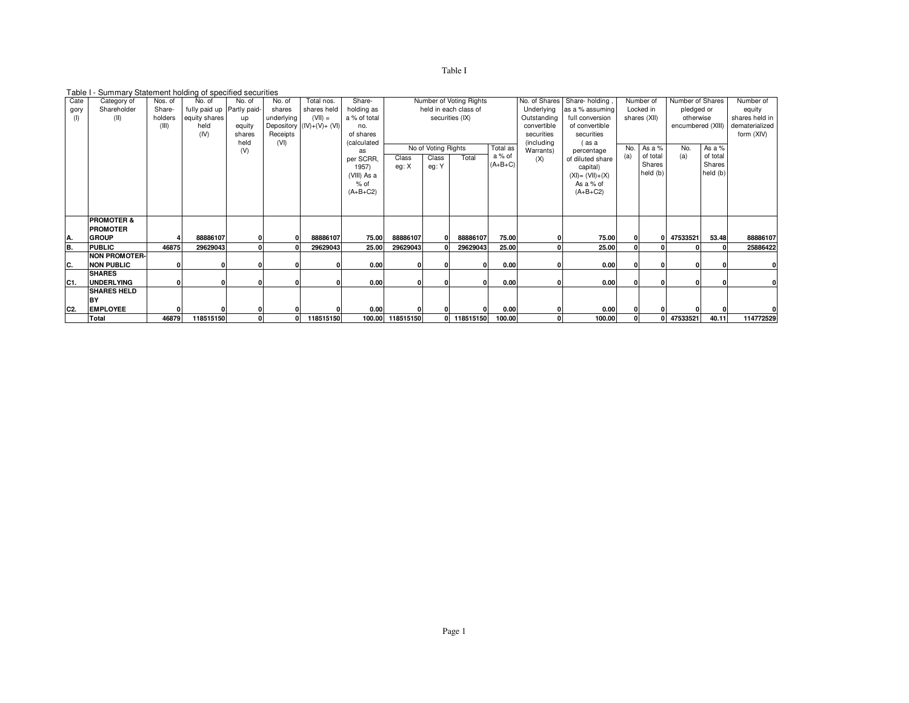| ani |   |  |
|-----|---|--|
|     | х |  |

## Table I - Summary Statement holding of specified securities

| Cate            | Category of           | Nos. of | No. of                     | No. of       | No. of     | Total nos.                 | Share-       |                       |                                           | Number of Voting Rights |           | No. of Shares           | Share-holding                   | Number of |          | Number of Shares  |                | Number of    |
|-----------------|-----------------------|---------|----------------------------|--------------|------------|----------------------------|--------------|-----------------------|-------------------------------------------|-------------------------|-----------|-------------------------|---------------------------------|-----------|----------|-------------------|----------------|--------------|
| gory            | Shareholder           | Share-  | fully paid up Partly paid- |              | shares     | shares held                | holding as   | held in each class of |                                           |                         |           | Underlying              | as a % assuming<br>Locked in    |           |          | pledged or        | equity         |              |
| (1)             | (11)                  | holders | equity shares              | up           | underlying | $(VII) =$                  | a % of total | securities (IX)       |                                           |                         |           | Outstanding             | full conversion<br>shares (XII) |           |          | otherwise         | shares held in |              |
|                 |                       | (III)   | held                       | equity       |            | Depository $(IV)+(V)+(VI)$ | no.          |                       |                                           |                         |           | convertible             | of convertible                  |           |          | encumbered (XIII) | dematerialized |              |
|                 |                       |         | (IV)                       | shares       | Receipts   |                            | of shares    |                       |                                           |                         |           | securities              | securities                      |           |          |                   |                | form (XIV)   |
|                 |                       |         |                            | held         | (VI)       |                            | (calculated  |                       |                                           |                         |           | (including<br>Warrants) | (as a                           | No.       | As $a\%$ | No.               | As a %         |              |
|                 |                       |         |                            | (V)          |            |                            | as           |                       | No of Voting Rights<br>Total as<br>a % of |                         |           |                         | percentage                      |           | of total | (a)               | of total       |              |
|                 |                       |         |                            |              |            |                            | per SCRR,    | Class                 | Class                                     | Total                   | $(A+B+C)$ | (X)                     | of diluted share                | (a)       | Shares   |                   | Shares         |              |
|                 |                       |         |                            |              |            |                            | 1957)        | eg: X                 | eg: Y                                     |                         |           |                         | capital)                        |           | held (b) |                   | held (b)       |              |
|                 |                       |         |                            |              |            |                            | (VIII) As a  |                       |                                           |                         |           |                         | $(XI) = (VII)+(X)$              |           |          |                   |                |              |
|                 |                       |         |                            |              |            |                            | $%$ of       |                       |                                           |                         |           |                         | As a % of                       |           |          |                   |                |              |
|                 |                       |         |                            |              |            |                            | $(A+B+C2)$   |                       |                                           |                         |           |                         | $(A+B+C2)$                      |           |          |                   |                |              |
|                 |                       |         |                            |              |            |                            |              |                       |                                           |                         |           |                         |                                 |           |          |                   |                |              |
|                 |                       |         |                            |              |            |                            |              |                       |                                           |                         |           |                         |                                 |           |          |                   |                |              |
|                 | <b>PROMOTER &amp;</b> |         |                            |              |            |                            |              |                       |                                           |                         |           |                         |                                 |           |          |                   |                |              |
|                 | <b>PROMOTER</b>       |         |                            |              |            |                            |              |                       |                                           |                         |           |                         |                                 |           |          |                   |                |              |
| IA.             | <b>GROUP</b>          |         | 88886107                   | $\mathbf{0}$ | $\Omega$   | 88886107                   | 75.00        | 88886107              | 0.                                        | 88886107                | 75.00     |                         | 75.00                           |           |          | 47533521          | 53.48          | 88886107     |
| B.              | <b>PUBLIC</b>         | 46875   | 29629043                   | $\Omega$     |            | 29629043                   | 25.00        | 29629043              |                                           | 29629043                | 25.00     |                         | 25.00                           |           |          |                   |                | 25886422     |
|                 | <b>NON PROMOTER-</b>  |         |                            |              |            |                            |              |                       |                                           |                         |           |                         |                                 |           |          |                   |                |              |
| C.              | <b>NON PUBLIC</b>     |         |                            | 0            |            |                            | 0.00         |                       |                                           | οI                      | 0.00      |                         | 0.00                            |           | n        |                   |                |              |
|                 | <b>SHARES</b>         |         |                            |              |            |                            |              |                       |                                           |                         |           |                         |                                 |           |          |                   |                |              |
| IC <sub>1</sub> | <b>UNDERLYING</b>     |         |                            | $\mathbf{0}$ | 0          |                            | 0.00         |                       | 01                                        | 0                       | 0.00      |                         | 0.00                            |           | n        |                   | $\Omega$       | $\mathbf{0}$ |
|                 | <b>SHARES HELD</b>    |         |                            |              |            |                            |              |                       |                                           |                         |           |                         |                                 |           |          |                   |                |              |
|                 | BY                    |         |                            |              |            |                            |              |                       |                                           |                         |           |                         |                                 |           |          |                   |                |              |
| C <sub>2</sub>  | <b>EMPLOYEE</b>       |         |                            | $\mathbf{0}$ |            |                            | 0.00         |                       |                                           | 0                       | 0.00      |                         | 0.00                            |           |          |                   |                |              |
|                 | Total                 | 46879   | 118515150                  | $\mathbf{0}$ | 0          | 118515150                  |              | 100.00 118515150      |                                           | 0 118515150             | 100.00    |                         | 100.00                          |           |          | 0 47533521        | 40.11          | 114772529    |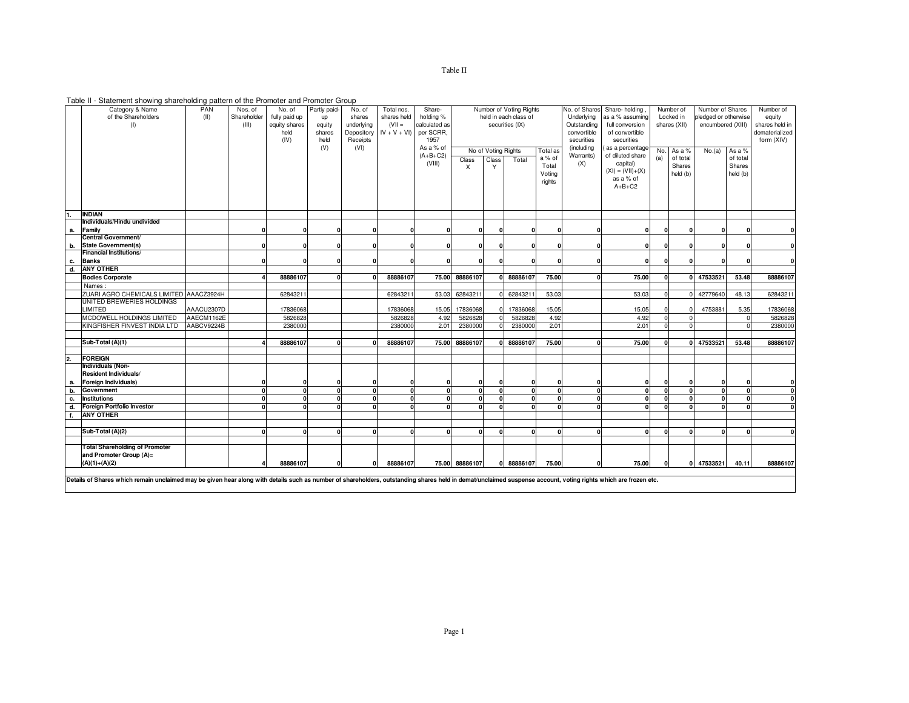Table II - Statement showing shareholding pattern of the Promoter and Promoter Group

|    | Category & Name                                                                                                                                                                                                | PAN        | Nos. of     | No. of        | Partly paid- | No. of     | Total nos.    | Share-        | Number of Voting Rights         |              |                       | No. of Shares Share-holding |                 | Number of          | Number of Shares |           | Number of            |            |                |
|----|----------------------------------------------------------------------------------------------------------------------------------------------------------------------------------------------------------------|------------|-------------|---------------|--------------|------------|---------------|---------------|---------------------------------|--------------|-----------------------|-----------------------------|-----------------|--------------------|------------------|-----------|----------------------|------------|----------------|
|    | of the Shareholders                                                                                                                                                                                            | (II)       | Shareholder | fully paid up | <b>UD</b>    | shares     | shares held   | holding %     |                                 |              | held in each class of |                             | Underlying      | as a % assuming    |                  | Locked in | pledged or otherwise |            | equity         |
|    | (1)                                                                                                                                                                                                            |            | (III)       | equity shares | equity       | underlying | $(VII =$      | calculated as |                                 |              | securities (IX)       |                             | Outstanding     | full conversion    | shares (XII)     |           | encumbered (XIII)    |            | shares held in |
|    |                                                                                                                                                                                                                |            |             | held          | shares       | Depository | $IV + V + VI$ | per SCRR.     |                                 |              |                       |                             | convertible     | of convertible     |                  |           |                      |            | dematerialized |
|    |                                                                                                                                                                                                                |            |             | (IV)          | held         | Receipts   |               | 1957          |                                 |              |                       | securities                  | securities      |                    |                  |           |                      | form (XIV) |                |
|    |                                                                                                                                                                                                                |            |             |               | (V)          | (VI)       |               | As a % of     | No of Voting Rights<br>Total as |              |                       | (including                  | as a percentage |                    | No. As a %       | No.(a)    | As a %               |            |                |
|    |                                                                                                                                                                                                                |            |             |               |              |            |               | $(A+B+C2)$    | Class                           | Class        | Total                 | a % of                      | Warrants)       | of diluted share   | (a)              | of total  |                      | of total   |                |
|    |                                                                                                                                                                                                                |            |             |               |              |            |               | (VIII)        | X                               | Y            |                       | Total                       | (X)             | capital)           |                  | Shares    |                      | Shares     |                |
|    |                                                                                                                                                                                                                |            |             |               |              |            |               |               |                                 |              |                       | Voting                      |                 | $(XI) = (VII)+(X)$ |                  | held (b)  |                      | held (b)   |                |
|    |                                                                                                                                                                                                                |            |             |               |              |            |               |               |                                 |              |                       | rights                      |                 | as a % of          |                  |           |                      |            |                |
|    |                                                                                                                                                                                                                |            |             |               |              |            |               |               |                                 |              |                       |                             |                 | $A+B+C2$           |                  |           |                      |            |                |
|    |                                                                                                                                                                                                                |            |             |               |              |            |               |               |                                 |              |                       |                             |                 |                    |                  |           |                      |            |                |
|    |                                                                                                                                                                                                                |            |             |               |              |            |               |               |                                 |              |                       |                             |                 |                    |                  |           |                      |            |                |
|    | <b>INDIAN</b>                                                                                                                                                                                                  |            |             |               |              |            |               |               |                                 |              |                       |                             |                 |                    |                  |           |                      |            |                |
|    | Individuals/Hindu undivided                                                                                                                                                                                    |            |             |               |              |            |               |               |                                 |              |                       |                             |                 |                    |                  |           |                      |            |                |
| а. | <b>Family</b>                                                                                                                                                                                                  |            |             |               |              |            |               |               | 0                               | $\Omega$     |                       | n                           |                 | n                  |                  |           |                      |            |                |
|    | Central Government/                                                                                                                                                                                            |            |             |               |              |            |               |               |                                 |              |                       |                             |                 |                    |                  |           |                      |            |                |
| b. | State Government(s)                                                                                                                                                                                            |            | $\Omega$    | $\Omega$      | 0            |            |               |               | 0                               | $\Omega$     |                       | $\mathbf{o}$                |                 | $\mathbf{0}$       |                  |           | $\Omega$             |            | 0              |
|    | <b>Financial Institutions/</b>                                                                                                                                                                                 |            |             |               |              |            |               |               |                                 |              |                       |                             |                 |                    |                  |           |                      |            |                |
| с. | <b>Banks</b>                                                                                                                                                                                                   |            | n           | $\sqrt{2}$    | $\Omega$     |            |               |               | $\Omega$                        | $\sqrt{2}$   |                       | $\Omega$                    |                 | n                  |                  |           | n                    |            | 0              |
| d. | <b>ANY OTHER</b>                                                                                                                                                                                               |            |             |               |              |            |               |               |                                 |              |                       |                             |                 |                    |                  |           |                      |            |                |
|    | <b>Bodies Corporate</b>                                                                                                                                                                                        |            | 4           | 88886107      | $\mathbf{0}$ |            | 88886107      | 75.00         | 88886107                        |              | 0 88886107            | 75.00                       | $\Omega$        | 75.00              | <b>n</b>         |           | 0 47533521           | 53.48      | 88886107       |
|    | Names:                                                                                                                                                                                                         |            |             |               |              |            |               |               |                                 |              |                       |                             |                 |                    |                  |           |                      |            |                |
|    | ZUARI AGRO CHEMICALS LIMITED AAACZ3924H                                                                                                                                                                        |            |             | 62843211      |              |            | 62843211      | 53.03         | 62843211                        | $\circ$      | 6284321               | 53.03                       |                 | 53.03              | $\Omega$         |           | 42779640             | 48.13      | 62843211       |
|    | UNITED BREWERIES HOLDINGS                                                                                                                                                                                      |            |             |               |              |            |               |               |                                 |              |                       |                             |                 |                    |                  |           |                      |            |                |
|    | <b>LIMITED</b>                                                                                                                                                                                                 | AAACU2307D |             | 17836068      |              |            | 17836068      | 15.05         | 17836068                        |              | 17836068              | 15.05                       |                 | 15.05              |                  |           | 4753881              | 5.35       | 17836068       |
|    | MCDOWELL HOLDINGS LIMITED                                                                                                                                                                                      | AAECM1162E |             | 5826828       |              |            | 5826828       | 4.92          | 5826828                         |              | 5826828               | 4.92                        |                 | 4.92               |                  |           |                      |            | 5826828        |
|    | KINGFISHER FINVEST INDIA LTD                                                                                                                                                                                   | AABCV9224B |             | 2380000       |              |            | 2380000       | 2.01          | 2380000                         |              | 2380000               | 2.01                        |                 | 2.01               |                  |           |                      |            | 2380000        |
|    |                                                                                                                                                                                                                |            |             |               |              |            |               |               |                                 |              |                       |                             |                 |                    |                  |           |                      |            |                |
|    | Sub-Total (A)(1)                                                                                                                                                                                               |            |             | 88886107      | $\Omega$     |            | 88886107      | 75.00         | 88886107                        |              | 88886107              | 75.00                       |                 | 75.00              | $\Omega$         |           | 0 47533521           | 53.48      | 88886107       |
|    |                                                                                                                                                                                                                |            |             |               |              |            |               |               |                                 |              |                       |                             |                 |                    |                  |           |                      |            |                |
| 2. | <b>FOREIGN</b><br><b>Individuals (Non-</b>                                                                                                                                                                     |            |             |               |              |            |               |               |                                 |              |                       |                             |                 |                    |                  |           |                      |            |                |
|    | Resident Individuals/                                                                                                                                                                                          |            |             |               |              |            |               |               |                                 |              |                       |                             |                 |                    |                  |           |                      |            |                |
| а. | <b>Foreign Individuals)</b>                                                                                                                                                                                    |            | n           | 0             |              |            |               |               | 0                               |              |                       | $\mathbf{0}$                |                 | 0                  |                  |           | $\mathbf{0}$         |            | 0              |
| b. | Government                                                                                                                                                                                                     |            | $\Omega$    | $\Omega$      | $\Omega$     |            |               |               | $\Omega$                        | $\Omega$     |                       | $\Omega$                    | $\Omega$        | $\Omega$           |                  |           | $\Omega$             |            | 0              |
| c. | <b>Institutions</b>                                                                                                                                                                                            |            | $\Omega$    | $\Omega$      | 0            |            |               |               | 0                               | $\mathbf{0}$ |                       | $\mathbf{0}$                | $\mathbf{0}$    | $\mathbf{0}$       |                  |           | $\Omega$             |            | 0              |
| d. | <b>Foreign Portfolio Investor</b>                                                                                                                                                                              |            |             | $\sqrt{2}$    | $\mathbf{r}$ |            |               |               | $\Omega$                        | $\Omega$     |                       | $\Omega$                    | $\sqrt{2}$      | <sup>0</sup>       |                  |           |                      |            | 0              |
| f. | <b>ANY OTHER</b>                                                                                                                                                                                               |            |             |               |              |            |               |               |                                 |              |                       |                             |                 |                    |                  |           |                      |            |                |
|    |                                                                                                                                                                                                                |            |             |               |              |            |               |               |                                 |              |                       |                             |                 |                    |                  |           |                      |            |                |
|    | Sub-Total (A)(2)                                                                                                                                                                                               |            | $\Omega$    | $\Omega$      |              |            |               |               |                                 | $\Omega$     |                       | 0                           | $\sqrt{ }$      | $\mathbf{0}$       |                  |           |                      |            | 0              |
|    |                                                                                                                                                                                                                |            |             |               |              |            |               |               |                                 |              |                       |                             |                 |                    |                  |           |                      |            |                |
|    | <b>Total Shareholding of Promoter</b>                                                                                                                                                                          |            |             |               |              |            |               |               |                                 |              |                       |                             |                 |                    |                  |           |                      |            |                |
|    | and Promoter Group (A)=                                                                                                                                                                                        |            |             |               |              |            |               |               |                                 |              |                       |                             |                 |                    |                  |           |                      |            |                |
|    | $(A)(1)+(A)(2)$                                                                                                                                                                                                |            |             | 88886107      | 0            | ŋ          | 88886107      |               | 75.00 88886107                  | $\mathbf{0}$ | 88886107              | 75.00                       |                 | 75.00              |                  |           | 0 47533521           | 40.11      | 88886107       |
|    |                                                                                                                                                                                                                |            |             |               |              |            |               |               |                                 |              |                       |                             |                 |                    |                  |           |                      |            |                |
|    | Details of Shares which remain unclaimed may be given hear along with details such as number of shareholders, outstanding shares held in demat/unclaimed suspense account, voting rights which are frozen etc. |            |             |               |              |            |               |               |                                 |              |                       |                             |                 |                    |                  |           |                      |            |                |
|    |                                                                                                                                                                                                                |            |             |               |              |            |               |               |                                 |              |                       |                             |                 |                    |                  |           |                      |            |                |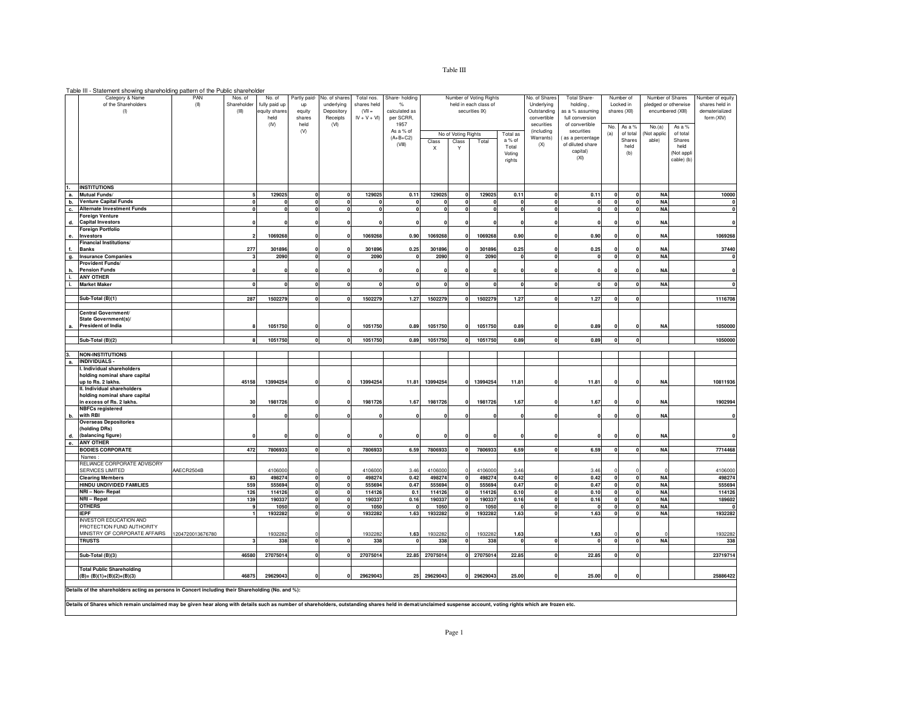## Table III - Statement showing shareholding pattern of the Public shareholder

|          | Category & Name<br>of the Shareholders<br>(1)                                                                                                                                                                  | PAN<br>(II)      | Nos. of<br>Shareholder<br>(III) | No. of<br>fully paid up<br>equity shares<br>held | Partly paid-<br>up<br>equity<br>shares | No. of shares<br>underlying<br>Depository<br>Receipts | Total nos.<br>shares held<br>$(VII =$<br>$IV + V + VI$ | Share- holding<br>%<br>calculated as<br>per SCRR, |                  |                                   | Number of Voting Rights<br>held in each class of<br>securities IX) |                                       | No. of Shares<br>Underlying<br>Outstanding<br>convertible | Total Share-<br>holding,<br>as a % assuming<br>full conversion                  |                              | Number of<br>Locked in<br>shares (XII)      | Number of Shares<br>pledged or otherwise<br>encumbered (XIII) |                                                   | Number of equity<br>shares held in<br>dematerialized<br>form (XIV) |
|----------|----------------------------------------------------------------------------------------------------------------------------------------------------------------------------------------------------------------|------------------|---------------------------------|--------------------------------------------------|----------------------------------------|-------------------------------------------------------|--------------------------------------------------------|---------------------------------------------------|------------------|-----------------------------------|--------------------------------------------------------------------|---------------------------------------|-----------------------------------------------------------|---------------------------------------------------------------------------------|------------------------------|---------------------------------------------|---------------------------------------------------------------|---------------------------------------------------|--------------------------------------------------------------------|
|          |                                                                                                                                                                                                                |                  |                                 | (IV)                                             | held<br>(V)                            | (VI)                                                  |                                                        | 1957<br>As a % of<br>$(A+B+C2)$<br>(VIII)         | Class<br>X       | No of Voting Rights<br>Class<br>Y | Total                                                              | Total as<br>a % of<br>Total<br>Voting | securities<br>(including<br>Warrants)<br>(X)              | of convertible<br>securities<br>as a percentage<br>of diluted share<br>capital) | No.<br>(a)                   | As a %<br>of total<br>Shares<br>held<br>(b) | No.(a)<br>Not applic<br>able)                                 | As a %<br>of total<br>Shares<br>held<br>Not appli |                                                                    |
|          |                                                                                                                                                                                                                |                  |                                 |                                                  |                                        |                                                       |                                                        |                                                   |                  |                                   |                                                                    | rights                                |                                                           | (XI)                                                                            |                              |                                             |                                                               | cable) (b)                                        |                                                                    |
|          | <b>INSTITUTIONS</b>                                                                                                                                                                                            |                  |                                 |                                                  |                                        |                                                       |                                                        |                                                   |                  |                                   |                                                                    |                                       |                                                           |                                                                                 |                              |                                             |                                                               |                                                   |                                                                    |
| а.<br>b. | Mutual Funds/<br><b>Venture Capital Funds</b>                                                                                                                                                                  |                  |                                 | 129025                                           | 0<br>$\mathbf{0}$                      |                                                       | 129025                                                 | 0.11<br>$\mathbf 0$                               | 129025           | $\Omega$<br>$\Omega$              | 129025                                                             | 0.11<br>$\mathbf{0}$                  | $\Omega$<br>$\mathbf{0}$                                  | 0.11<br>$\mathbf{0}$                                                            | n<br>$\Omega$                |                                             | <b>NA</b><br><b>NA</b>                                        |                                                   | 10000                                                              |
| c.       | <b>Alternate Investment Funds</b>                                                                                                                                                                              |                  |                                 | $\mathbf 0$                                      | $\mathbf 0$                            |                                                       |                                                        | $\Omega$                                          | $\mathbf 0$      | $\Omega$                          |                                                                    | $\mathbf 0$                           | $\mathbf{0}$                                              | $\mathbf 0$                                                                     | 0                            |                                             | <b>NA</b>                                                     |                                                   |                                                                    |
| d.       | <b>Foreign Venture</b><br><b>Capital Investors</b>                                                                                                                                                             |                  |                                 |                                                  |                                        |                                                       |                                                        |                                                   |                  |                                   |                                                                    |                                       |                                                           |                                                                                 |                              |                                             | <b>NA</b>                                                     |                                                   |                                                                    |
|          | Foreign Portfolio                                                                                                                                                                                              |                  |                                 |                                                  |                                        |                                                       |                                                        |                                                   |                  |                                   |                                                                    |                                       |                                                           |                                                                                 |                              |                                             |                                                               |                                                   |                                                                    |
| е.       | Investors<br>Financial Institutions/                                                                                                                                                                           |                  |                                 | 1069268                                          |                                        |                                                       | 1069268                                                | 0.90                                              | 1069268          |                                   | 1069268                                                            | 0.90                                  |                                                           | 0.90                                                                            |                              |                                             | <b>NA</b>                                                     |                                                   | 1069268                                                            |
| f.       | Banks                                                                                                                                                                                                          |                  | 277                             | 301896                                           | 0                                      |                                                       | 301896                                                 | 0.25                                              | 301896           |                                   | 301896                                                             | 0.25                                  |                                                           | 0.25                                                                            |                              |                                             | <b>NA</b>                                                     |                                                   | 37440                                                              |
| g.       | <b>Insurance Companies</b>                                                                                                                                                                                     |                  |                                 | 2090                                             | $\mathbf 0$                            |                                                       | 2090                                                   | $\mathbf{0}$                                      | 2090             | $\mathbf{0}$                      | 2090                                                               | $\mathbf{r}$                          | $\mathbf{0}$                                              | $\Omega$                                                                        | $\Omega$                     |                                             | <b>NA</b>                                                     |                                                   |                                                                    |
| h.       | Provident Funds/<br><b>Pension Funds</b>                                                                                                                                                                       |                  |                                 |                                                  | 0                                      |                                                       |                                                        |                                                   |                  |                                   |                                                                    |                                       | $\Omega$                                                  |                                                                                 |                              |                                             | <b>NA</b>                                                     |                                                   |                                                                    |
| i.       | <b>ANY OTHER</b>                                                                                                                                                                                               |                  |                                 |                                                  |                                        |                                                       |                                                        |                                                   |                  |                                   |                                                                    |                                       |                                                           |                                                                                 |                              |                                             |                                                               |                                                   |                                                                    |
| j.       | <b>Market Maker</b>                                                                                                                                                                                            |                  |                                 |                                                  | $\mathbf{0}$                           |                                                       |                                                        |                                                   |                  | $\Omega$                          |                                                                    |                                       |                                                           |                                                                                 |                              |                                             | <b>NA</b>                                                     |                                                   |                                                                    |
|          | Sub-Total (B)(1)                                                                                                                                                                                               |                  | 287                             | 1502279                                          |                                        |                                                       | 1502279                                                | 1.27                                              | 1502279          |                                   | 1502279                                                            | 1.27                                  |                                                           | 1.27                                                                            |                              |                                             |                                                               |                                                   | 1116708                                                            |
|          |                                                                                                                                                                                                                |                  |                                 |                                                  |                                        |                                                       |                                                        |                                                   |                  |                                   |                                                                    |                                       |                                                           |                                                                                 |                              |                                             |                                                               |                                                   |                                                                    |
|          | Central Government/<br>State Government(s)/                                                                                                                                                                    |                  |                                 |                                                  |                                        |                                                       |                                                        |                                                   |                  |                                   |                                                                    |                                       |                                                           |                                                                                 |                              |                                             |                                                               |                                                   |                                                                    |
|          | President of India                                                                                                                                                                                             |                  |                                 | 1051750                                          |                                        |                                                       | 1051750                                                | 0.89                                              | 1051750          |                                   | 1051750                                                            | 0.89                                  |                                                           | 0.89                                                                            |                              |                                             | <b>NA</b>                                                     |                                                   | 1050000                                                            |
|          | Sub-Total (B)(2)                                                                                                                                                                                               |                  |                                 | 1051750                                          | $\mathbf 0$                            |                                                       | 1051750                                                | 0.89                                              | 1051750          |                                   | 1051750                                                            | 0.89                                  | $\mathbf 0$                                               | 0.89                                                                            |                              |                                             |                                                               |                                                   | 1050000                                                            |
|          |                                                                                                                                                                                                                |                  |                                 |                                                  |                                        |                                                       |                                                        |                                                   |                  |                                   |                                                                    |                                       |                                                           |                                                                                 |                              |                                             |                                                               |                                                   |                                                                    |
|          | <b>NON-INSTITUTIONS</b><br><b>INDIVIDUALS -</b>                                                                                                                                                                |                  |                                 |                                                  |                                        |                                                       |                                                        |                                                   |                  |                                   |                                                                    |                                       |                                                           |                                                                                 |                              |                                             |                                                               |                                                   |                                                                    |
| а.       | I. Individual shareholders                                                                                                                                                                                     |                  |                                 |                                                  |                                        |                                                       |                                                        |                                                   |                  |                                   |                                                                    |                                       |                                                           |                                                                                 |                              |                                             |                                                               |                                                   |                                                                    |
|          | holding nominal share capital                                                                                                                                                                                  |                  |                                 |                                                  |                                        |                                                       |                                                        |                                                   |                  | $\mathbf{0}$                      |                                                                    |                                       | $\Omega$                                                  |                                                                                 |                              |                                             |                                                               |                                                   | 10811936                                                           |
|          | up to Rs. 2 lakhs<br>II. Individual shareholders                                                                                                                                                               |                  | 45158                           | 13994254                                         |                                        |                                                       | 13994254                                               | 11.81                                             | 13994254         |                                   | 13994254                                                           | 11.81                                 |                                                           | 11.81                                                                           |                              |                                             | <b>NA</b>                                                     |                                                   |                                                                    |
|          | holding nominal share capital<br>in excess of Rs. 2 lakhs.                                                                                                                                                     |                  | 30                              | 1981726                                          |                                        |                                                       | 1981726                                                |                                                   | 1981726          |                                   | 1981726                                                            | 1.67                                  |                                                           |                                                                                 |                              |                                             | <b>NA</b>                                                     |                                                   | 1902994                                                            |
|          | <b>NBFCs registered</b>                                                                                                                                                                                        |                  |                                 |                                                  |                                        |                                                       |                                                        | 1.67                                              |                  |                                   |                                                                    |                                       |                                                           | 1.67                                                                            |                              |                                             |                                                               |                                                   |                                                                    |
| b.       | with RBI<br><b>Overseas Depositories</b>                                                                                                                                                                       |                  |                                 |                                                  |                                        |                                                       |                                                        |                                                   |                  |                                   |                                                                    |                                       |                                                           |                                                                                 |                              |                                             | <b>NA</b>                                                     |                                                   |                                                                    |
|          | (holding DRs)                                                                                                                                                                                                  |                  |                                 |                                                  |                                        |                                                       |                                                        |                                                   |                  |                                   |                                                                    |                                       |                                                           |                                                                                 |                              |                                             |                                                               |                                                   |                                                                    |
| d.<br>e. | (balancing figure)<br><b>ANY OTHER</b>                                                                                                                                                                         |                  |                                 |                                                  |                                        |                                                       |                                                        |                                                   |                  |                                   |                                                                    |                                       |                                                           |                                                                                 |                              |                                             | <b>NA</b>                                                     |                                                   |                                                                    |
|          | <b>BODIES CORPORATE</b>                                                                                                                                                                                        |                  | 472                             | 7806933                                          | $\mathbf{0}$                           |                                                       | 7806933                                                | 6.59                                              | 7806933          | $\Omega$                          | 7806933                                                            | 6.59                                  | $\mathbf{0}$                                              | 6.59                                                                            |                              |                                             | <b>NA</b>                                                     |                                                   | 7714468                                                            |
|          | Names<br>RELIANCE CORPORATE ADVISORY                                                                                                                                                                           |                  |                                 |                                                  |                                        |                                                       |                                                        |                                                   |                  |                                   |                                                                    |                                       |                                                           |                                                                                 |                              |                                             |                                                               |                                                   |                                                                    |
|          | SERVICES LIMITED                                                                                                                                                                                               | AAECR2504B       |                                 | 4106000                                          |                                        |                                                       | 4106000                                                | 3.46                                              | 4106000          |                                   | 4106000                                                            | 3.46                                  |                                                           | 3.46                                                                            |                              |                                             |                                                               |                                                   | 4106000                                                            |
|          | <b>Clearing Members</b>                                                                                                                                                                                        |                  | 83                              | 498274                                           | $\mathbf{0}$                           |                                                       | 498274                                                 | 0.42                                              | 498274           |                                   | 498274                                                             | 0.42                                  |                                                           | 0.42                                                                            |                              |                                             | <b>NA</b>                                                     |                                                   | 498274                                                             |
|          | HINDU UNDIVIDED FAMILIES<br>NRI-Non-Repat                                                                                                                                                                      |                  | 559<br>126                      | 555694<br>114126                                 | $\mathbf{0}$<br>$\mathbf{0}$           |                                                       | 555694<br>114126                                       | 0.47<br>0.1                                       | 555694<br>114126 |                                   | 555694<br>114126                                                   | 0.47<br>0.10                          | $\Omega$<br>$\Omega$                                      | 0.47<br>0.10                                                                    | $\mathbf{0}$<br>$\mathbf{0}$ |                                             | <b>NA</b><br><b>NA</b>                                        |                                                   | 555694<br>114126                                                   |
|          | NRI - Repat                                                                                                                                                                                                    |                  | 139                             | 190337                                           | $\bullet$                              |                                                       | 190337                                                 | 0.16                                              | 190337           |                                   | 190337                                                             | 0.16                                  | $\Omega$                                                  | 0.16                                                                            | $\mathbf{0}$                 |                                             | <b>NA</b>                                                     |                                                   | 189602                                                             |
|          | <b>OTHERS</b>                                                                                                                                                                                                  |                  | 9                               | 1050                                             | $\mathbf 0$                            |                                                       | 1050                                                   |                                                   | 1050             |                                   | 1050                                                               |                                       | $\mathbf 0$                                               |                                                                                 | $\Omega$                     |                                             | ΝA                                                            |                                                   |                                                                    |
|          | <b>IEPF</b>                                                                                                                                                                                                    |                  |                                 | 1932282                                          | $\mathbf 0$                            |                                                       | 1932282                                                | 1.63                                              | 1932282          |                                   | 1932282                                                            | 1.63                                  |                                                           | 1.63                                                                            |                              |                                             | <b>NA</b>                                                     |                                                   | 1932282                                                            |
|          | <b>INVESTOR EDUCATION AND</b><br>PROTECTION FUND AUTHORITY                                                                                                                                                     |                  |                                 |                                                  |                                        |                                                       |                                                        |                                                   |                  |                                   |                                                                    |                                       |                                                           |                                                                                 |                              |                                             |                                                               |                                                   |                                                                    |
|          | MINISTRY OF CORPORATE AFFAIRS                                                                                                                                                                                  | 1204720013676780 |                                 | 1932282                                          |                                        |                                                       | 1932282                                                | 1.63<br>n                                         | 1932282          | n                                 | 1932282                                                            | 1.63<br>$\Omega$                      |                                                           | 1.63<br>$\mathbf{r}$                                                            |                              |                                             |                                                               |                                                   | 1932282                                                            |
|          | <b>TRUSTS</b>                                                                                                                                                                                                  |                  |                                 | 338                                              | $\mathbf{0}$                           |                                                       | 338                                                    |                                                   | 338              |                                   | 338                                                                |                                       |                                                           |                                                                                 |                              |                                             | <b>NA</b>                                                     |                                                   | 338                                                                |
|          | Sub-Total (B)(3)                                                                                                                                                                                               |                  | 46580                           | 27075014                                         | $\mathbf 0$                            | 0                                                     | 27075014                                               | 22.85                                             | 27075014         | $\Omega$                          | 27075014                                                           | 22.85                                 | $\mathbf 0$                                               | 22.85                                                                           |                              |                                             |                                                               |                                                   | 23719714                                                           |
|          | <b>Total Public Shareholding</b>                                                                                                                                                                               |                  |                                 |                                                  |                                        |                                                       |                                                        |                                                   |                  |                                   |                                                                    |                                       |                                                           |                                                                                 |                              |                                             |                                                               |                                                   |                                                                    |
|          | $(B)=(B)(1)+(B)(2)+(B)(3)$                                                                                                                                                                                     |                  | 46875                           | 29629043                                         | 0                                      | 0                                                     | 29629043                                               | 25                                                | 29629043         | $\Omega$                          | 29629043                                                           | 25.00                                 | 0                                                         | 25.00                                                                           |                              | $\Omega$                                    |                                                               |                                                   | 25886422                                                           |
|          | Details of the shareholders acting as persons in Concert including their Shareholding (No. and %):                                                                                                             |                  |                                 |                                                  |                                        |                                                       |                                                        |                                                   |                  |                                   |                                                                    |                                       |                                                           |                                                                                 |                              |                                             |                                                               |                                                   |                                                                    |
|          |                                                                                                                                                                                                                |                  |                                 |                                                  |                                        |                                                       |                                                        |                                                   |                  |                                   |                                                                    |                                       |                                                           |                                                                                 |                              |                                             |                                                               |                                                   |                                                                    |
|          | Details of Shares which remain unclaimed may be given hear along with details such as number of shareholders, outstanding shares held in demat/unclaimed suspense account, voting rights which are frozen etc. |                  |                                 |                                                  |                                        |                                                       |                                                        |                                                   |                  |                                   |                                                                    |                                       |                                                           |                                                                                 |                              |                                             |                                                               |                                                   |                                                                    |